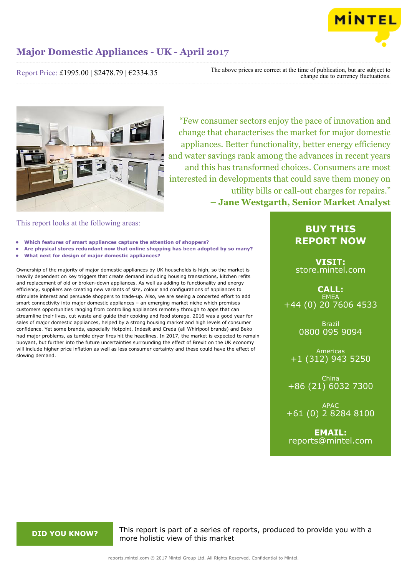

Report Price: £1995.00 | \$2478.79 | €2334.35

The above prices are correct at the time of publication, but are subject to change due to currency fluctuations.



"Few consumer sectors enjoy the pace of innovation and change that characterises the market for major domestic appliances. Better functionality, better energy efficiency and water savings rank among the advances in recent years and this has transformed choices. Consumers are most interested in developments that could save them money on utility bills or call-out charges for repairs." **– Jane Westgarth, Senior Market Analyst**

### This report looks at the following areas:

- **• Which features of smart appliances capture the attention of shoppers?**
- **• Are physical stores redundant now that online shopping has been adopted by so many?**
- **• What next for design of major domestic appliances?**

Ownership of the majority of major domestic appliances by UK households is high, so the market is heavily dependent on key triggers that create demand including housing transactions, kitchen refits and replacement of old or broken-down appliances. As well as adding to functionality and energy efficiency, suppliers are creating new variants of size, colour and configurations of appliances to stimulate interest and persuade shoppers to trade-up. Also, we are seeing a concerted effort to add smart connectivity into major domestic appliances – an emerging market niche which promises customers opportunities ranging from controlling appliances remotely through to apps that can streamline their lives, cut waste and guide their cooking and food storage. 2016 was a good year for sales of major domestic appliances, helped by a strong housing market and high levels of consumer confidence. Yet some brands, especially Hotpoint, Indesit and Creda (all Whirlpool brands) and Beko had major problems, as tumble dryer fires hit the headlines. In 2017, the market is expected to remain buoyant, but further into the future uncertainties surrounding the effect of Brexit on the UK economy will include higher price inflation as well as less consumer certainty and these could have the effect of slowing demand.

### **BUY THIS REPORT NOW**

**VISIT:** [store.mintel.com](http://reports.mintel.com//display/store/792703/)

**CALL: EMEA** +44 (0) 20 7606 4533

> Brazil 0800 095 9094

Americas +1 (312) 943 5250

China +86 (21) 6032 7300

APAC +61 (0) 2 8284 8100

**EMAIL:** [reports@mintel.com](mailto:reports@mintel.com)

**DID YOU KNOW?** This report is part of a series of reports, produced to provide you with a more holistic view of this market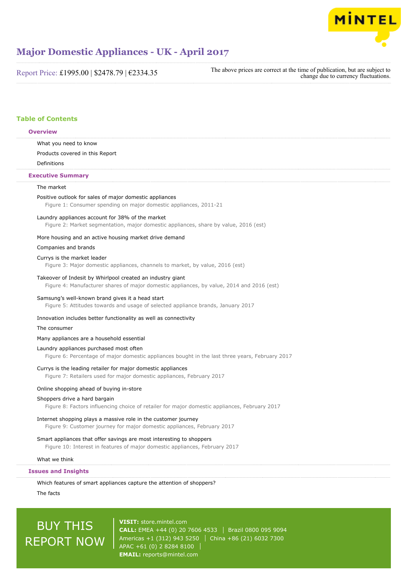

Report Price: £1995.00 | \$2478.79 | €2334.35

The above prices are correct at the time of publication, but are subject to change due to currency fluctuations.

### **Table of Contents**

#### **Overview**

What you need to know

Products covered in this Report

Definitions

#### **Executive Summary**

#### The market

### Positive outlook for sales of major domestic appliances

Figure 1: Consumer spending on major domestic appliances, 2011-21

#### Laundry appliances account for 38% of the market

Figure 2: Market segmentation, major domestic appliances, share by value, 2016 (est)

#### More housing and an active housing market drive demand

#### Companies and brands

#### Currys is the market leader

Figure 3: Major domestic appliances, channels to market, by value, 2016 (est)

#### Takeover of Indesit by Whirlpool created an industry giant

Figure 4: Manufacturer shares of major domestic appliances, by value, 2014 and 2016 (est)

#### Samsung's well-known brand gives it a head start

Figure 5: Attitudes towards and usage of selected appliance brands, January 2017

#### Innovation includes better functionality as well as connectivity

#### The consumer

#### Many appliances are a household essential

#### Laundry appliances purchased most often

Figure 6: Percentage of major domestic appliances bought in the last three years, February 2017

#### Currys is the leading retailer for major domestic appliances

Figure 7: Retailers used for major domestic appliances, February 2017

#### Online shopping ahead of buying in-store

#### Shoppers drive a hard bargain

Figure 8: Factors influencing choice of retailer for major domestic appliances, February 2017

#### Internet shopping plays a massive role in the customer journey

Figure 9: Customer journey for major domestic appliances, February 2017

### Smart appliances that offer savings are most interesting to shoppers

Figure 10: Interest in features of major domestic appliances, February 2017

#### What we think

#### **Issues and Insights**

Which features of smart appliances capture the attention of shoppers?

The facts

# BUY THIS REPORT NOW

**VISIT:** [store.mintel.com](http://reports.mintel.com//display/store/792703/) **CALL:** EMEA +44 (0) 20 7606 4533 Brazil 0800 095 9094 Americas +1 (312) 943 5250 | China +86 (21) 6032 7300 APAC +61 (0) 2 8284 8100 **EMAIL:** [reports@mintel.com](mailto:reports@mintel.com)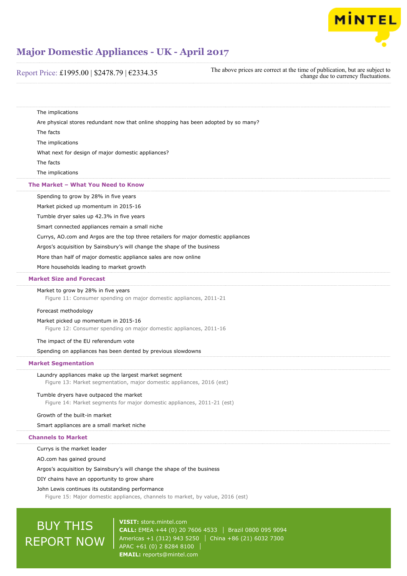

### Report Price: £1995.00 | \$2478.79 | €2334.35

The above prices are correct at the time of publication, but are subject to change due to currency fluctuations.

The implications Are physical stores redundant now that online shopping has been adopted by so many? The facts The implications What next for design of major domestic appliances? The facts The implications Spending to grow by 28% in five years Market picked up momentum in 2015-16 Tumble dryer sales up 42.3% in five years Smart connected appliances remain a small niche Currys, AO.com and Argos are the top three retailers for major domestic appliances Argos's acquisition by Sainsbury's will change the shape of the business More than half of major domestic appliance sales are now online More households leading to market growth Market to grow by 28% in five years Figure 11: Consumer spending on major domestic appliances, 2011-21 Forecast methodology Market picked up momentum in 2015-16 Figure 12: Consumer spending on major domestic appliances, 2011-16 The impact of the EU referendum vote Spending on appliances has been dented by previous slowdowns Laundry appliances make up the largest market segment Figure 13: Market segmentation, major domestic appliances, 2016 (est) Tumble dryers have outpaced the market Figure 14: Market segments for major domestic appliances, 2011-21 (est) Growth of the built-in market Smart appliances are a small market niche Currys is the market leader AO.com has gained ground Argos's acquisition by Sainsbury's will change the shape of the business DIY chains have an opportunity to grow share John Lewis continues its outstanding performance Figure 15: Major domestic appliances, channels to market, by value, 2016 (est) **The Market – What You Need to Know Market Size and Forecast Market Segmentation Channels to Market**

# BUY THIS REPORT NOW

**VISIT:** [store.mintel.com](http://reports.mintel.com//display/store/792703/) **CALL:** EMEA +44 (0) 20 7606 4533 Brazil 0800 095 9094 Americas +1 (312) 943 5250 | China +86 (21) 6032 7300 APAC +61 (0) 2 8284 8100 **EMAIL:** [reports@mintel.com](mailto:reports@mintel.com)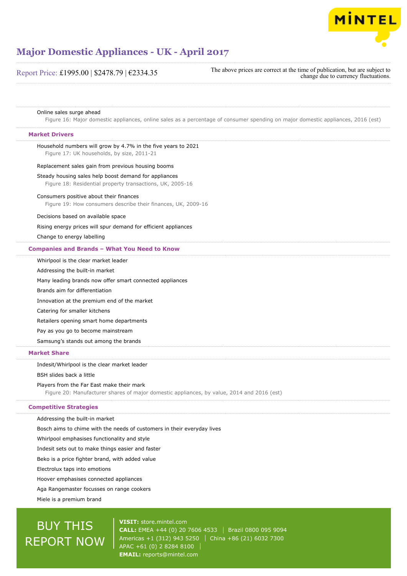

| Report Price: £1995.00   \$2478.79   €2334.35                                                                                           | The above prices are correct at the time of publication, but are subject to<br>change due to currency fluctuations.              |
|-----------------------------------------------------------------------------------------------------------------------------------------|----------------------------------------------------------------------------------------------------------------------------------|
| Online sales surge ahead                                                                                                                |                                                                                                                                  |
|                                                                                                                                         | Figure 16: Major domestic appliances, online sales as a percentage of consumer spending on major domestic appliances, 2016 (est) |
| <b>Market Drivers</b>                                                                                                                   |                                                                                                                                  |
| Household numbers will grow by 4.7% in the five years to 2021<br>Figure 17: UK households, by size, 2011-21                             |                                                                                                                                  |
| Replacement sales gain from previous housing booms                                                                                      |                                                                                                                                  |
| Steady housing sales help boost demand for appliances<br>Figure 18: Residential property transactions, UK, 2005-16                      |                                                                                                                                  |
| Consumers positive about their finances<br>Figure 19: How consumers describe their finances, UK, 2009-16                                |                                                                                                                                  |
| Decisions based on available space                                                                                                      |                                                                                                                                  |
| Rising energy prices will spur demand for efficient appliances                                                                          |                                                                                                                                  |
| Change to energy labelling                                                                                                              |                                                                                                                                  |
| <b>Companies and Brands - What You Need to Know</b>                                                                                     |                                                                                                                                  |
| Whirlpool is the clear market leader                                                                                                    |                                                                                                                                  |
| Addressing the built-in market                                                                                                          |                                                                                                                                  |
| Many leading brands now offer smart connected appliances                                                                                |                                                                                                                                  |
| Brands aim for differentiation                                                                                                          |                                                                                                                                  |
| Innovation at the premium end of the market                                                                                             |                                                                                                                                  |
| Catering for smaller kitchens                                                                                                           |                                                                                                                                  |
| Retailers opening smart home departments                                                                                                |                                                                                                                                  |
| Pay as you go to become mainstream                                                                                                      |                                                                                                                                  |
| Samsung's stands out among the brands                                                                                                   |                                                                                                                                  |
| <b>Market Share</b>                                                                                                                     |                                                                                                                                  |
| Indesit/Whirlpool is the clear market leader                                                                                            |                                                                                                                                  |
| BSH slides back a little                                                                                                                |                                                                                                                                  |
| Players from the Far East make their mark<br>Figure 20: Manufacturer shares of major domestic appliances, by value, 2014 and 2016 (est) |                                                                                                                                  |
| <b>Competitive Strategies</b>                                                                                                           |                                                                                                                                  |
| Addressing the built-in market                                                                                                          |                                                                                                                                  |
| Bosch aims to chime with the needs of customers in their everyday lives                                                                 |                                                                                                                                  |
| Whirlpool emphasises functionality and style                                                                                            |                                                                                                                                  |
| Indesit sets out to make things easier and faster                                                                                       |                                                                                                                                  |
| Beko is a price fighter brand, with added value                                                                                         |                                                                                                                                  |

Electrolux taps into emotions

Hoover emphasises connected appliances

Aga Rangemaster focusses on range cookers

Miele is a premium brand

# BUY THIS REPORT NOW

**VISIT:** [store.mintel.com](http://reports.mintel.com//display/store/792703/) **CALL:** EMEA +44 (0) 20 7606 4533 | Brazil 0800 095 9094 Americas +1 (312) 943 5250 | China +86 (21) 6032 7300 APAC +61 (0) 2 8284 8100 **EMAIL:** [reports@mintel.com](mailto:reports@mintel.com)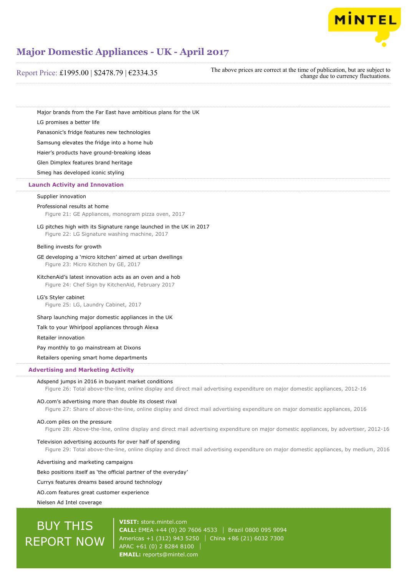

Report Price: £1995.00 | \$2478.79 | €2334.35

The above prices are correct at the time of publication, but are subject to change due to currency fluctuations.

Major brands from the Far East have ambitious plans for the UK

LG promises a better life

Panasonic's fridge features new technologies

Samsung elevates the fridge into a home hub

Haier's products have ground-breaking ideas

Glen Dimplex features brand heritage

Smeg has developed iconic styling

### **Launch Activity and Innovation**

#### Supplier innovation

#### Professional results at home

Figure 21: GE Appliances, monogram pizza oven, 2017

LG pitches high with its Signature range launched in the UK in 2017 Figure 22: LG Signature washing machine, 2017

#### Belling invests for growth

GE developing a 'micro kitchen' aimed at urban dwellings Figure 23: Micro Kitchen by GE, 2017

#### KitchenAid's latest innovation acts as an oven and a hob

Figure 24: Chef Sign by KitchenAid, February 2017

LG's Styler cabinet

Figure 25: LG, Laundry Cabinet, 2017

Sharp launching major domestic appliances in the UK

Talk to your Whirlpool appliances through Alexa

Retailer innovation

Pay monthly to go mainstream at Dixons

Retailers opening smart home departments

#### **Advertising and Marketing Activity**

#### Adspend jumps in 2016 in buoyant market conditions

Figure 26: Total above-the-line, online display and direct mail advertising expenditure on major domestic appliances, 2012-16

#### AO.com's advertising more than double its closest rival

Figure 27: Share of above-the-line, online display and direct mail advertising expenditure on major domestic appliances, 2016

#### AO.com piles on the pressure

Figure 28: Above-the-line, online display and direct mail advertising expenditure on major domestic appliances, by advertiser, 2012-16

Television advertising accounts for over half of spending

Figure 29: Total above-the-line, online display and direct mail advertising expenditure on major domestic appliances, by medium, 2016

Advertising and marketing campaigns

Beko positions itself as 'the official partner of the everyday'

Currys features dreams based around technology

AO.com features great customer experience

Nielsen Ad Intel coverage

# BUY THIS REPORT NOW

**VISIT:** [store.mintel.com](http://reports.mintel.com//display/store/792703/) **CALL:** EMEA +44 (0) 20 7606 4533 Brazil 0800 095 9094 Americas +1 (312) 943 5250 | China +86 (21) 6032 7300 APAC +61 (0) 2 8284 8100 **EMAIL:** [reports@mintel.com](mailto:reports@mintel.com)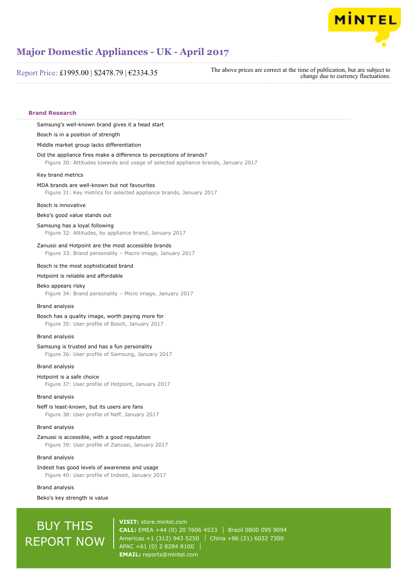

Report Price: £1995.00 | \$2478.79 | €2334.35

The above prices are correct at the time of publication, but are subject to change due to currency fluctuations.

#### **Brand Research**

Samsung's well-known brand gives it a head start

Bosch is in a position of strength

Middle market group lacks differentiation

#### Did the appliance fires make a difference to perceptions of brands?

Figure 30: Attitudes towards and usage of selected appliance brands, January 2017

#### Key brand metrics

#### MDA brands are well-known but not favourites

Figure 31: Key metrics for selected appliance brands, January 2017

#### Bosch is innovative

Beko's good value stands out

#### Samsung has a loyal following

Figure 32: Attitudes, by appliance brand, January 2017

#### Zanussi and Hotpoint are the most accessible brands

Figure 33: Brand personality – Macro image, January 2017

#### Bosch is the most sophisticated brand

#### Hotpoint is reliable and affordable

#### Beko appears risky

Figure 34: Brand personality – Micro image, January 2017

#### Brand analysis

#### Bosch has a quality image, worth paying more for

Figure 35: User profile of Bosch, January 2017

#### Brand analysis

#### Samsung is trusted and has a fun personality

Figure 36: User profile of Samsung, January 2017

#### Brand analysis

#### Hotpoint is a safe choice

Figure 37: User profile of Hotpoint, January 2017

#### Brand analysis

#### Neff is least-known, but its users are fans

Figure 38: User profile of Neff, January 2017

#### Brand analysis

#### Zanussi is accessible, with a good reputation Figure 39: User profile of Zanussi, January 2017

#### Brand analysis

#### Indesit has good levels of awareness and usage

Figure 40: User profile of Indesit, January 2017

#### Brand analysis

Beko's key strength is value

# BUY THIS REPORT NOW

**VISIT:** [store.mintel.com](http://reports.mintel.com//display/store/792703/) **CALL:** EMEA +44 (0) 20 7606 4533 | Brazil 0800 095 9094 Americas +1 (312) 943 5250 | China +86 (21) 6032 7300 APAC +61 (0) 2 8284 8100 **EMAIL:** [reports@mintel.com](mailto:reports@mintel.com)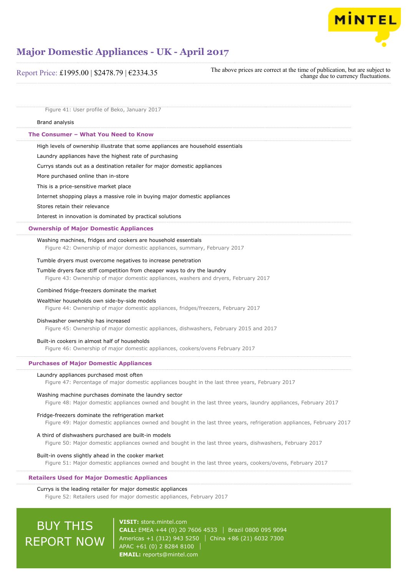

| Report Price: £1995.00   \$2478.79   €2334.35                                                                                                                     | The above prices are correct at the time of publication, but are subject to<br>change due to currency fluctuations.    |
|-------------------------------------------------------------------------------------------------------------------------------------------------------------------|------------------------------------------------------------------------------------------------------------------------|
| Figure 41: User profile of Beko, January 2017                                                                                                                     |                                                                                                                        |
| Brand analysis                                                                                                                                                    |                                                                                                                        |
| The Consumer - What You Need to Know                                                                                                                              |                                                                                                                        |
| High levels of ownership illustrate that some appliances are household essentials                                                                                 |                                                                                                                        |
| Laundry appliances have the highest rate of purchasing                                                                                                            |                                                                                                                        |
| Currys stands out as a destination retailer for major domestic appliances                                                                                         |                                                                                                                        |
| More purchased online than in-store                                                                                                                               |                                                                                                                        |
| This is a price-sensitive market place                                                                                                                            |                                                                                                                        |
| Internet shopping plays a massive role in buying major domestic appliances                                                                                        |                                                                                                                        |
| Stores retain their relevance                                                                                                                                     |                                                                                                                        |
| Interest in innovation is dominated by practical solutions                                                                                                        |                                                                                                                        |
| <b>Ownership of Major Domestic Appliances</b>                                                                                                                     |                                                                                                                        |
| Washing machines, fridges and cookers are household essentials<br>Figure 42: Ownership of major domestic appliances, summary, February 2017                       |                                                                                                                        |
| Tumble dryers must overcome negatives to increase penetration                                                                                                     |                                                                                                                        |
| Tumble dryers face stiff competition from cheaper ways to dry the laundry<br>Figure 43: Ownership of major domestic appliances, washers and dryers, February 2017 |                                                                                                                        |
| Combined fridge-freezers dominate the market                                                                                                                      |                                                                                                                        |
| Wealthier households own side-by-side models<br>Figure 44: Ownership of major domestic appliances, fridges/freezers, February 2017                                |                                                                                                                        |
| Dishwasher ownership has increased<br>Figure 45: Ownership of major domestic appliances, dishwashers, February 2015 and 2017                                      |                                                                                                                        |
| Built-in cookers in almost half of households<br>Figure 46: Ownership of major domestic appliances, cookers/ovens February 2017                                   |                                                                                                                        |
| <b>Purchases of Major Domestic Appliances</b>                                                                                                                     |                                                                                                                        |
| Laundry appliances purchased most often<br>Figure 47: Percentage of major domestic appliances bought in the last three years, February 2017                       |                                                                                                                        |
| Washing machine purchases dominate the laundry sector                                                                                                             | Figure 48: Major domestic appliances owned and bought in the last three years, laundry appliances, February 2017       |
| Fridge-freezers dominate the refrigeration market                                                                                                                 | Figure 49: Major domestic appliances owned and bought in the last three years, refrigeration appliances, February 2017 |
| A third of dishwashers purchased are built-in models<br>Figure 50: Major domestic appliances owned and bought in the last three years, dishwashers, February 2017 |                                                                                                                        |
| Built-in ovens slightly ahead in the cooker market<br>Figure 51: Major domestic appliances owned and bought in the last three years, cookers/ovens, February 2017 |                                                                                                                        |
| <b>Retailers Used for Major Domestic Appliances</b>                                                                                                               |                                                                                                                        |
| Currys is the leading retailer for major domestic appliances<br>Figure 52: Retailers used for major domestic appliances, February 2017                            |                                                                                                                        |

BUY THIS REPORT NOW

**VISIT:** [store.mintel.com](http://reports.mintel.com//display/store/792703/) **CALL:** EMEA +44 (0) 20 7606 4533 | Brazil 0800 095 9094 Americas +1 (312) 943 5250 China +86 (21) 6032 7300 APAC +61 (0) 2 8284 8100 **EMAIL:** [reports@mintel.com](mailto:reports@mintel.com)